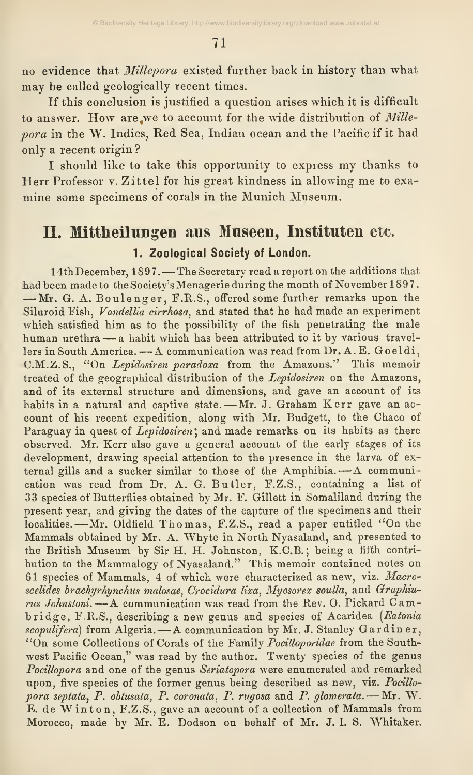no evidence that Millepora existed further back in history than what may be called geologically recent times.

If this conclusion is justified a question arises which it is difficult to answer. How are we to account for the wide distribution of Millepora in the W. Indies, Red Sea, Indian ocean and the Pacific if it had only a recent origin ?

<sup>I</sup> should like to take this opportunity to express my thanks to Herr Professor v. Zittel for his great kindness in allowing me to exa mine some specimens of corals in the Munich Museum.

## II. Mittheilungen aus Museen, Instituten etc. 1. Zoological Society of London.

14th December, 1897. — The Secretary read a report on the additions that had been made to the Society's Menagerie during the month of November 1897.  $-mr. G. A. Boulenger, F.R.S., offered some further remarks upon the$ Siluroid Fish, Vandellia cirrhosa, and stated that he had made an experiment which satisfied him as to the possibility of the fish penetrating the male human urethra —<sup>a</sup> habit which has been attributed to it by various travellers in South America. —<sup>A</sup> communication was read from Dr. A. E. Goeldi, C.M.Z.S., "On Lepidosiren paradoxa from the Amazons." This memoir treated of the geographical distribution of the Lepidosiren on the Amazons, and of its external structure and dimensions, and gave an account of its habits in a natural and captive state. - Mr. J. Graham Kerr gave an account of his recent expedition, along with Mr. Budgett, to the Chaco of Paraguay in quest of Lepidosiren; and made remarks on its habits as there observed. Mr. Kerr also gave a general account of the early stages of its development, drawing special attention to the presence in the larva of external gills and <sup>a</sup> sucker similar to those of the Amphibia. —<sup>A</sup> communication was read from Dr, A. G. Butler, F.Z.S., containing a list of 33 species of Butterflies obtained by Mr. F. Gillett in Somaliland during the present year, and giving the dates of the capture of the specimens and their localities. —Mr. Oldfield Thomas, F.Z.S., read <sup>a</sup> paper entitled "On the Mammals obtained by Mr. A. Whyte in North Nyasaland, and presented to the British Museum by Sir H. H. Johnston, K.C.B.; being a fifth contribution to the Mammalogy of Nyasaland." This memoir contained notes on 61 species of Mammals, 4 of which were characterized as new, viz. Macroscelides brachyrhynchus malosae, Crocidura lixa, Myosorex soulla, and Graphiurus Johnsioni. —<sup>A</sup> communication was read from the Rev. O. Pickard Cambridge, F.R.S., describing a new genus and species of Acaridea (Eatonia scopulifera) from Algeria. - A communication by Mr. J. Stanley Gardiner,  $^{17}$ On some Collections of Corals of the Family *Pocilloporidae* from the Southwest Pacific Ocean," was read by the author. Twenty species of the genus Pocillopora and one of the genus Seriatopora were enumerated and remarked upon, five species of the former genus being described as new, viz. Pocillopora septata, P. obtusata, P. coronata, P. rugosa and P. glomerata. - Mr. W. E. de Winton, F.Z.S., gave an account of <sup>a</sup> collection of Mammals from Morocco, made by Mr. E. Dodson on behalf of Mr. J. I. S, Whitaker.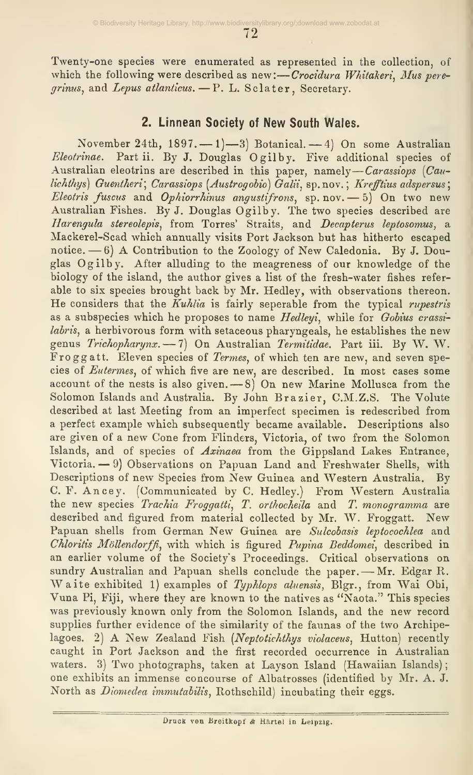72

Twenty-one species were enumerated as represented in the collection, of which the following were described as new:—Crocidura Whitakeri, Mus peregrinus, and Lepus atlanticus.  $-$  P. L. Sclater, Secretary.

## 2. Linnean Society of New South Wales.

November 24th,  $1897. - 1$   $-3$  Botanical.  $-4$  On some Australian Eleotrinae. Partii. By J. Douglas Ogilby, Five additional species of Australian eleotrins are described in this paper, namely—*Carassiops (Cau*lichthys) Guentheri; Carassiops (Austrogobio)  $\tilde{G}$ alii, sp.nov.; Krefftius adspersus; Eleotris fuscus and Ophiorrhinus angustifrons, sp. nov. — 5) On two new Australian Fishes. By J. Douglas Ogilby. The two species described are Harengula stereolepis, from Torres' Straits, and Decapterus leptosomus, a Mackerel-Scad which annually visits Port Jackson but has hitherto escaped notice.  $-6$ ) A Contribution to the Zoology of New Caledonia. By J. Douglas Ogilby. After alluding to the meagreness of our knowledge of the biology of the island, the author gives a list of the fresh-water fishes refer able to six species brought back by Mr. Hedley, with observations thereon. He considers that the  $Kuhia$  is fairly seperable from the typical *rupestris* as a subspecies which he proposes to name Hedleyi, while for Gobius crassilabris, a herbivorous form with setaceous pharyngeals, he establishes the new genus Trichopharynx. — 7) On Australian Termitidae. Part iii. By W. W. Froggatt. Eleven species of Termes, of which ten are new, and seven species of Eutermes, of which five are new, are described. In most cases some account of the nests is also given.  $-8$ ) On new Marine Mollusca from the Solomon Islands and Australia. By John Brazier, C.M.Z.S. The Volute described at last Meeting from an imperfect specimen is redescribed from a perfect example which subsequently became available. Descriptions also are given of a new Cone from Flinders, Victoria, of two from the Solomon Islands, and of species of Axinaea from the Gippsland Lakes Entrance, Victoria. — 9) Observations on Papuan Land and Freshwater Shells, with Descriptions of new Species from New Guinea and Western Australia. By C. F. Ancey. (Communicated by C. Hedley.) From Western Australia the new species Trachia Froggatti, T. orthocheila and T. monogramma are described and figured from material collected by Mr. W. Froggatt. New Papuan shells from German New Guinea are Sulcobasis leptocochlea and Chloritis Möllendorffi, with which is figured Pupina Beddomei, described in an earlier volume of the Society's Proceedings. Critical observations on sundry Australian and Papuan shells conclude the paper. - Mr. Edgar R. Waite exhibited 1) examples of Typhlops aluensis, Blgr., from Wai Obi, Vuna Pi, Fiji, where they are known to the natives as "Naota." This species was previously known only from the Solomon Islands, and the new record supplies further evidence of the similarity of the faunas of the two Archipelagoes. 2) A New Zealand Fish (Neptotichthys violaceus, Hutton) recently caught in Port Jackson and the first recorded occurrence in Australian waters. 3) Two photographs, taken at Layson Island (Hawaiian Islands) ; one exhibits an immense concourse of Albatrosses (identified by Mr. A. J. North as Diomedea immutabilis, Rothschild) incubating their eggs.

Druck von Breitkopf & Härtel in Leipzig.